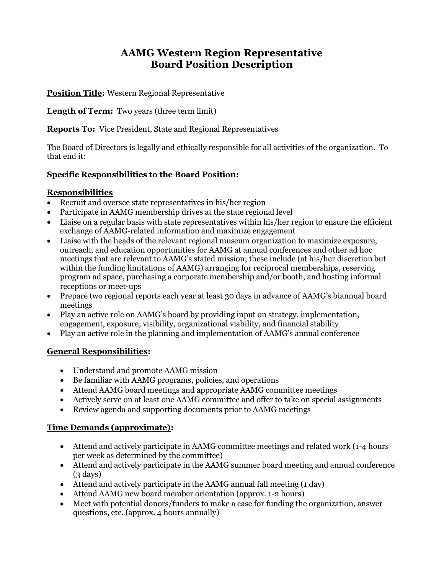# **AAMG Western Region Representative Board Position Description**

**Position Title:** Western Regional Representative

**Length of Term:** Two years (three term limit)

**Reports To:** Vice President, State and Regional Representatives

The Board of Directors is legally and ethically responsible for all activities of the organization. To that end it:

#### **Specific Responsibilities to the Board Position:**

#### **Responsibilities**

- Recruit and oversee state representatives in his/her region
- Participate in AAMG membership drives at the state regional level
- Liaise on a regular basis with state representatives within his/her region to ensure the efficient exchange of AAMG-related information and maximize engagement
- Liaise with the heads of the relevant regional museum organization to maximize exposure, outreach, and education opportunities for AAMG at annual conferences and other ad hoc meetings that are relevant to AAMG's stated mission; these include (at his/her discretion but within the funding limitations of AAMG) arranging for reciprocal memberships, reserving program ad space, purchasing a corporate membership and/or booth, and hosting informal receptions or meet-ups
- Prepare two regional reports each year at least 30 days in advance of AAMG's biannual board meetings
- Play an active role on AAMG's board by providing input on strategy, implementation, engagement, exposure, visibility, organizational viability, and financial stability
- Play an active role in the planning and implementation of AAMG's annual conference

### **General Responsibilities:**

- Understand and promote AAMG mission
- Be familiar with AAMG programs, policies, and operations
- Attend AAMG board meetings and appropriate AAMG committee meetings
- Actively serve on at least one AAMG committee and offer to take on special assignments
- Review agenda and supporting documents prior to AAMG meetings

### **Time Demands (approximate):**

- Attend and actively participate in AAMG committee meetings and related work (1-4 hours per week as determined by the committee)
- Attend and actively participate in the AAMG summer board meeting and annual conference  $(3 \text{ days})$
- Attend and actively participate in the AAMG annual fall meeting (1 day)
- Attend AAMG new board member orientation (approx. 1-2 hours)
- Meet with potential donors/funders to make a case for funding the organization, answer questions, etc. (approx. 4 hours annually)